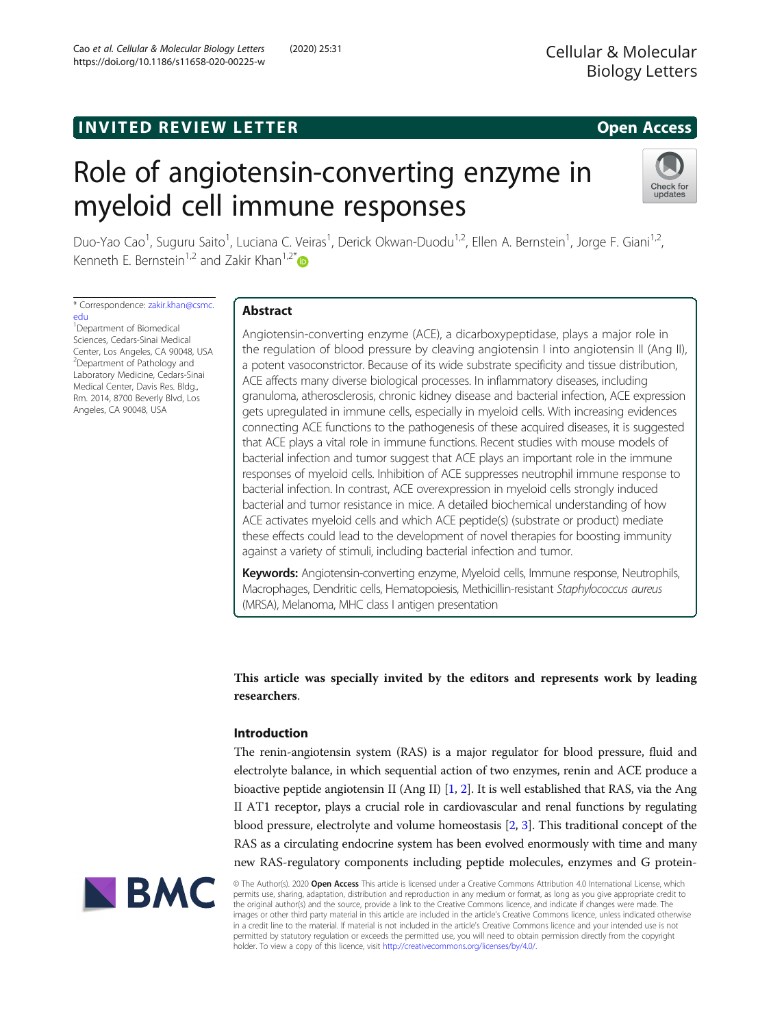# **INVITED REVIEW LETTER EXAMPLE EXAMPLE 2008 REVIEW**

# Role of angiotensin-converting enzyme in myeloid cell immune responses



Duo-Yao Cao<sup>1</sup>, Suguru Saito<sup>1</sup>, Luciana C. Veiras<sup>1</sup>, Derick Okwan-Duodu<sup>1,2</sup>, Ellen A. Bernstein<sup>1</sup>, Jorge F. Giani<sup>1,2</sup>, Kenneth E. Bernstein<sup>1,2</sup> and Zakir Khan<sup>1,2\*</sup>

\* Correspondence: [zakir.khan@csmc.](mailto:zakir.khan@csmc.edu) [edu](mailto:zakir.khan@csmc.edu)

<sup>1</sup>Department of Biomedical Sciences, Cedars-Sinai Medical Center, Los Angeles, CA 90048, USA <sup>2</sup>Department of Pathology and Laboratory Medicine, Cedars-Sinai Medical Center, Davis Res. Bldg., Rm. 2014, 8700 Beverly Blvd, Los Angeles, CA 90048, USA

# Abstract

Angiotensin-converting enzyme (ACE), a dicarboxypeptidase, plays a major role in the regulation of blood pressure by cleaving angiotensin I into angiotensin II (Ang II), a potent vasoconstrictor. Because of its wide substrate specificity and tissue distribution, ACE affects many diverse biological processes. In inflammatory diseases, including granuloma, atherosclerosis, chronic kidney disease and bacterial infection, ACE expression gets upregulated in immune cells, especially in myeloid cells. With increasing evidences connecting ACE functions to the pathogenesis of these acquired diseases, it is suggested that ACE plays a vital role in immune functions. Recent studies with mouse models of bacterial infection and tumor suggest that ACE plays an important role in the immune responses of myeloid cells. Inhibition of ACE suppresses neutrophil immune response to bacterial infection. In contrast, ACE overexpression in myeloid cells strongly induced bacterial and tumor resistance in mice. A detailed biochemical understanding of how ACE activates myeloid cells and which ACE peptide(s) (substrate or product) mediate these effects could lead to the development of novel therapies for boosting immunity against a variety of stimuli, including bacterial infection and tumor.

Keywords: Angiotensin-converting enzyme, Myeloid cells, Immune response, Neutrophils, Macrophages, Dendritic cells, Hematopoiesis, Methicillin-resistant Staphylococcus aureus (MRSA), Melanoma, MHC class I antigen presentation

This article was specially invited by the editors and represents work by leading researchers.

## Introduction

The renin-angiotensin system (RAS) is a major regulator for blood pressure, fluid and electrolyte balance, in which sequential action of two enzymes, renin and ACE produce a bioactive peptide angiotensin II (Ang II) [[1](#page-9-0), [2\]](#page-9-0). It is well established that RAS, via the Ang II AT1 receptor, plays a crucial role in cardiovascular and renal functions by regulating blood pressure, electrolyte and volume homeostasis [\[2](#page-9-0), [3](#page-9-0)]. This traditional concept of the RAS as a circulating endocrine system has been evolved enormously with time and many new RAS-regulatory components including peptide molecules, enzymes and G protein-



© The Author(s). 2020 Open Access This article is licensed under a Creative Commons Attribution 4.0 International License, which permits use, sharing, adaptation, distribution and reproduction in any medium or format, as long as you give appropriate credit to the original author(s) and the source, provide a link to the Creative Commons licence, and indicate if changes were made. The images or other third party material in this article are included in the article's Creative Commons licence, unless indicated otherwise in a credit line to the material. If material is not included in the article's Creative Commons licence and your intended use is not permitted by statutory regulation or exceeds the permitted use, you will need to obtain permission directly from the copyright holder. To view a copy of this licence, visit [http://creativecommons.org/licenses/by/4.0/.](http://creativecommons.org/licenses/by/4.0/)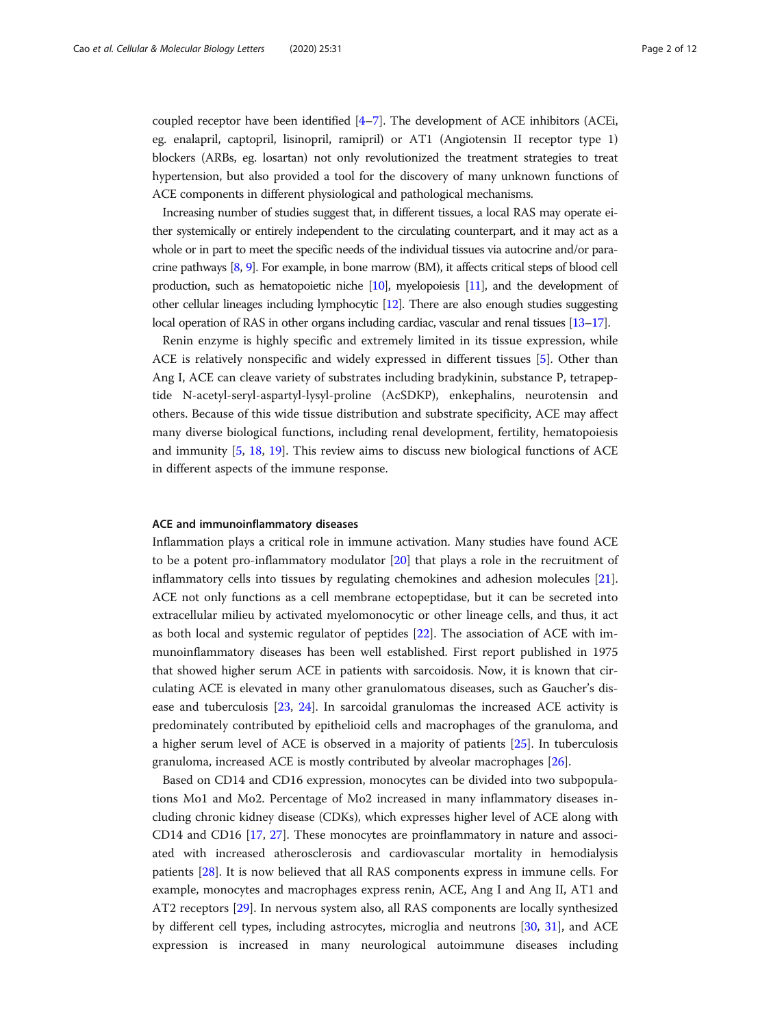coupled receptor have been identified  $[4-7]$  $[4-7]$  $[4-7]$ . The development of ACE inhibitors (ACEi, eg. enalapril, captopril, lisinopril, ramipril) or AT1 (Angiotensin II receptor type 1) blockers (ARBs, eg. losartan) not only revolutionized the treatment strategies to treat hypertension, but also provided a tool for the discovery of many unknown functions of ACE components in different physiological and pathological mechanisms.

Increasing number of studies suggest that, in different tissues, a local RAS may operate either systemically or entirely independent to the circulating counterpart, and it may act as a whole or in part to meet the specific needs of the individual tissues via autocrine and/or paracrine pathways [[8](#page-9-0), [9\]](#page-9-0). For example, in bone marrow (BM), it affects critical steps of blood cell production, such as hematopoietic niche [[10](#page-9-0)], myelopoiesis [\[11\]](#page-9-0), and the development of other cellular lineages including lymphocytic [\[12\]](#page-9-0). There are also enough studies suggesting local operation of RAS in other organs including cardiac, vascular and renal tissues [\[13](#page-9-0)–[17\]](#page-10-0).

Renin enzyme is highly specific and extremely limited in its tissue expression, while ACE is relatively nonspecific and widely expressed in different tissues [\[5](#page-9-0)]. Other than Ang I, ACE can cleave variety of substrates including bradykinin, substance P, tetrapeptide N-acetyl-seryl-aspartyl-lysyl-proline (AcSDKP), enkephalins, neurotensin and others. Because of this wide tissue distribution and substrate specificity, ACE may affect many diverse biological functions, including renal development, fertility, hematopoiesis and immunity [\[5](#page-9-0), [18](#page-10-0), [19\]](#page-10-0). This review aims to discuss new biological functions of ACE in different aspects of the immune response.

### ACE and immunoinflammatory diseases

Inflammation plays a critical role in immune activation. Many studies have found ACE to be a potent pro-inflammatory modulator [\[20](#page-10-0)] that plays a role in the recruitment of inflammatory cells into tissues by regulating chemokines and adhesion molecules [[21](#page-10-0)]. ACE not only functions as a cell membrane ectopeptidase, but it can be secreted into extracellular milieu by activated myelomonocytic or other lineage cells, and thus, it act as both local and systemic regulator of peptides [\[22\]](#page-10-0). The association of ACE with immunoinflammatory diseases has been well established. First report published in 1975 that showed higher serum ACE in patients with sarcoidosis. Now, it is known that circulating ACE is elevated in many other granulomatous diseases, such as Gaucher's disease and tuberculosis [[23](#page-10-0), [24\]](#page-10-0). In sarcoidal granulomas the increased ACE activity is predominately contributed by epithelioid cells and macrophages of the granuloma, and a higher serum level of ACE is observed in a majority of patients [\[25](#page-10-0)]. In tuberculosis granuloma, increased ACE is mostly contributed by alveolar macrophages [\[26](#page-10-0)].

Based on CD14 and CD16 expression, monocytes can be divided into two subpopulations Mo1 and Mo2. Percentage of Mo2 increased in many inflammatory diseases including chronic kidney disease (CDKs), which expresses higher level of ACE along with CD14 and CD16 [\[17](#page-10-0), [27](#page-10-0)]. These monocytes are proinflammatory in nature and associated with increased atherosclerosis and cardiovascular mortality in hemodialysis patients [\[28](#page-10-0)]. It is now believed that all RAS components express in immune cells. For example, monocytes and macrophages express renin, ACE, Ang I and Ang II, AT1 and AT2 receptors [\[29\]](#page-10-0). In nervous system also, all RAS components are locally synthesized by different cell types, including astrocytes, microglia and neutrons [\[30](#page-10-0), [31\]](#page-10-0), and ACE expression is increased in many neurological autoimmune diseases including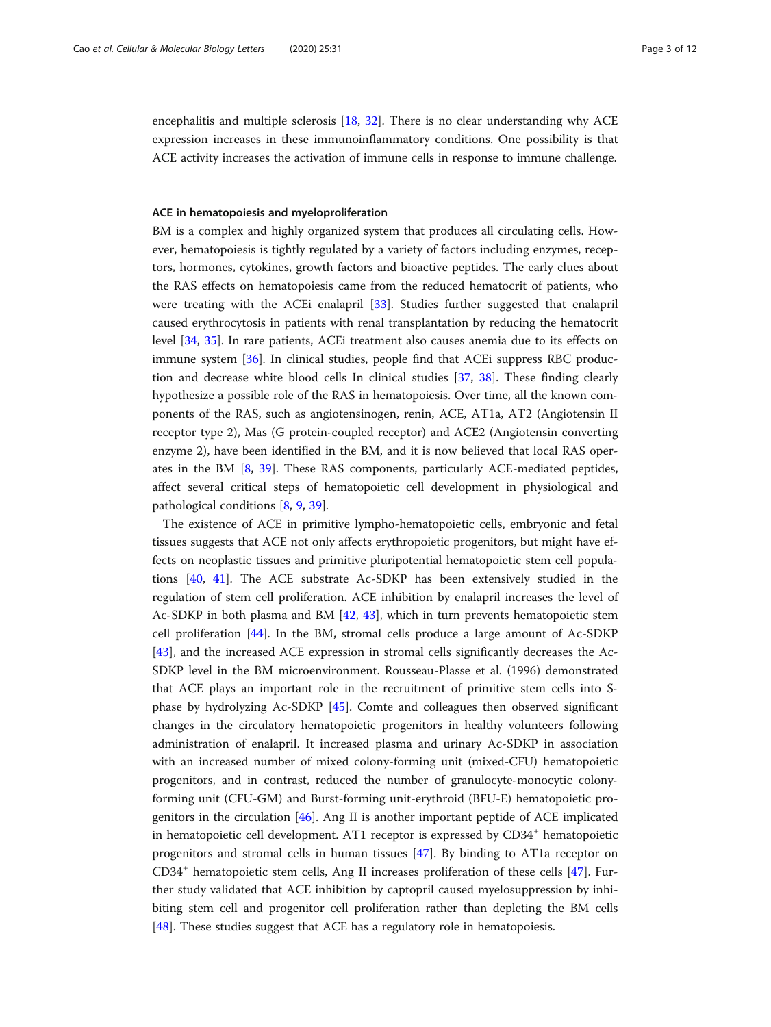encephalitis and multiple sclerosis [[18](#page-10-0), [32\]](#page-10-0). There is no clear understanding why ACE expression increases in these immunoinflammatory conditions. One possibility is that ACE activity increases the activation of immune cells in response to immune challenge.

### ACE in hematopoiesis and myeloproliferation

BM is a complex and highly organized system that produces all circulating cells. However, hematopoiesis is tightly regulated by a variety of factors including enzymes, receptors, hormones, cytokines, growth factors and bioactive peptides. The early clues about the RAS effects on hematopoiesis came from the reduced hematocrit of patients, who were treating with the ACEi enalapril [\[33\]](#page-10-0). Studies further suggested that enalapril caused erythrocytosis in patients with renal transplantation by reducing the hematocrit level [[34](#page-10-0), [35\]](#page-10-0). In rare patients, ACEi treatment also causes anemia due to its effects on immune system [\[36\]](#page-10-0). In clinical studies, people find that ACEi suppress RBC production and decrease white blood cells In clinical studies [[37,](#page-10-0) [38\]](#page-10-0). These finding clearly hypothesize a possible role of the RAS in hematopoiesis. Over time, all the known components of the RAS, such as angiotensinogen, renin, ACE, AT1a, AT2 (Angiotensin II receptor type 2), Mas (G protein-coupled receptor) and ACE2 (Angiotensin converting enzyme 2), have been identified in the BM, and it is now believed that local RAS operates in the BM [[8,](#page-9-0) [39\]](#page-10-0). These RAS components, particularly ACE-mediated peptides, affect several critical steps of hematopoietic cell development in physiological and pathological conditions [[8,](#page-9-0) [9,](#page-9-0) [39\]](#page-10-0).

The existence of ACE in primitive lympho-hematopoietic cells, embryonic and fetal tissues suggests that ACE not only affects erythropoietic progenitors, but might have effects on neoplastic tissues and primitive pluripotential hematopoietic stem cell populations [[40,](#page-10-0) [41](#page-10-0)]. The ACE substrate Ac-SDKP has been extensively studied in the regulation of stem cell proliferation. ACE inhibition by enalapril increases the level of Ac-SDKP in both plasma and BM [\[42,](#page-10-0) [43](#page-10-0)], which in turn prevents hematopoietic stem cell proliferation [[44\]](#page-10-0). In the BM, stromal cells produce a large amount of Ac-SDKP [[43\]](#page-10-0), and the increased ACE expression in stromal cells significantly decreases the Ac-SDKP level in the BM microenvironment. Rousseau-Plasse et al. (1996) demonstrated that ACE plays an important role in the recruitment of primitive stem cells into Sphase by hydrolyzing Ac-SDKP [[45\]](#page-10-0). Comte and colleagues then observed significant changes in the circulatory hematopoietic progenitors in healthy volunteers following administration of enalapril. It increased plasma and urinary Ac-SDKP in association with an increased number of mixed colony-forming unit (mixed-CFU) hematopoietic progenitors, and in contrast, reduced the number of granulocyte-monocytic colonyforming unit (CFU-GM) and Burst-forming unit-erythroid (BFU-E) hematopoietic progenitors in the circulation  $[46]$ . Ang II is another important peptide of ACE implicated in hematopoietic cell development. AT1 receptor is expressed by  $CD34<sup>+</sup>$  hematopoietic progenitors and stromal cells in human tissues [\[47\]](#page-10-0). By binding to AT1a receptor on CD34<sup>+</sup> hematopoietic stem cells, Ang II increases proliferation of these cells [\[47](#page-10-0)]. Further study validated that ACE inhibition by captopril caused myelosuppression by inhibiting stem cell and progenitor cell proliferation rather than depleting the BM cells [[48\]](#page-10-0). These studies suggest that ACE has a regulatory role in hematopoiesis.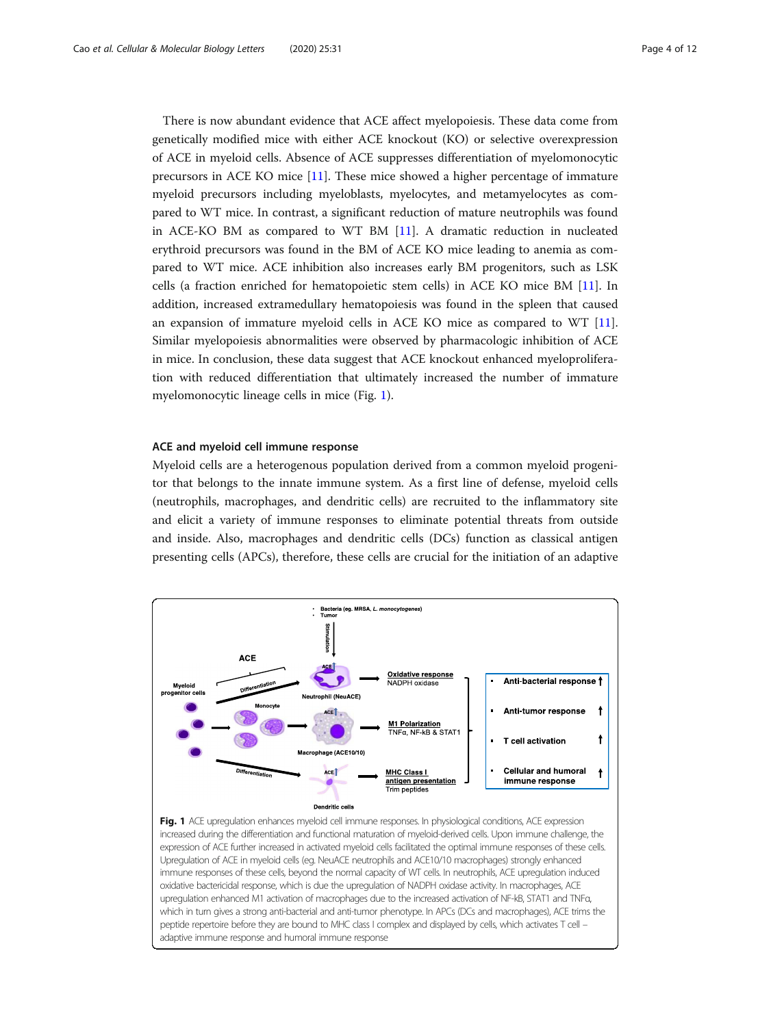<span id="page-3-0"></span>There is now abundant evidence that ACE affect myelopoiesis. These data come from genetically modified mice with either ACE knockout (KO) or selective overexpression of ACE in myeloid cells. Absence of ACE suppresses differentiation of myelomonocytic precursors in ACE KO mice [\[11](#page-9-0)]. These mice showed a higher percentage of immature myeloid precursors including myeloblasts, myelocytes, and metamyelocytes as compared to WT mice. In contrast, a significant reduction of mature neutrophils was found in ACE-KO BM as compared to WT BM [\[11](#page-9-0)]. A dramatic reduction in nucleated erythroid precursors was found in the BM of ACE KO mice leading to anemia as compared to WT mice. ACE inhibition also increases early BM progenitors, such as LSK cells (a fraction enriched for hematopoietic stem cells) in ACE KO mice BM [[11\]](#page-9-0). In addition, increased extramedullary hematopoiesis was found in the spleen that caused an expansion of immature myeloid cells in ACE KO mice as compared to WT [[11](#page-9-0)]. Similar myelopoiesis abnormalities were observed by pharmacologic inhibition of ACE in mice. In conclusion, these data suggest that ACE knockout enhanced myeloproliferation with reduced differentiation that ultimately increased the number of immature myelomonocytic lineage cells in mice (Fig. 1).

#### ACE and myeloid cell immune response

Myeloid cells are a heterogenous population derived from a common myeloid progenitor that belongs to the innate immune system. As a first line of defense, myeloid cells (neutrophils, macrophages, and dendritic cells) are recruited to the inflammatory site and elicit a variety of immune responses to eliminate potential threats from outside and inside. Also, macrophages and dendritic cells (DCs) function as classical antigen presenting cells (APCs), therefore, these cells are crucial for the initiation of an adaptive



Fig. 1 ACE upregulation enhances myeloid cell immune responses. In physiological conditions, ACE expression increased during the differentiation and functional maturation of myeloid-derived cells. Upon immune challenge, the expression of ACE further increased in activated myeloid cells facilitated the optimal immune responses of these cells. Upregulation of ACE in myeloid cells (eg. NeuACE neutrophils and ACE10/10 macrophages) strongly enhanced immune responses of these cells, beyond the normal capacity of WT cells. In neutrophils, ACE upregulation induced oxidative bactericidal response, which is due the upregulation of NADPH oxidase activity. In macrophages, ACE upregulation enhanced M1 activation of macrophages due to the increased activation of NF-kB, STAT1 and TNFα, which in turn gives a strong anti-bacterial and anti-tumor phenotype. In APCs (DCs and macrophages), ACE trims the peptide repertoire before they are bound to MHC class I complex and displayed by cells, which activates T cell – adaptive immune response and humoral immune response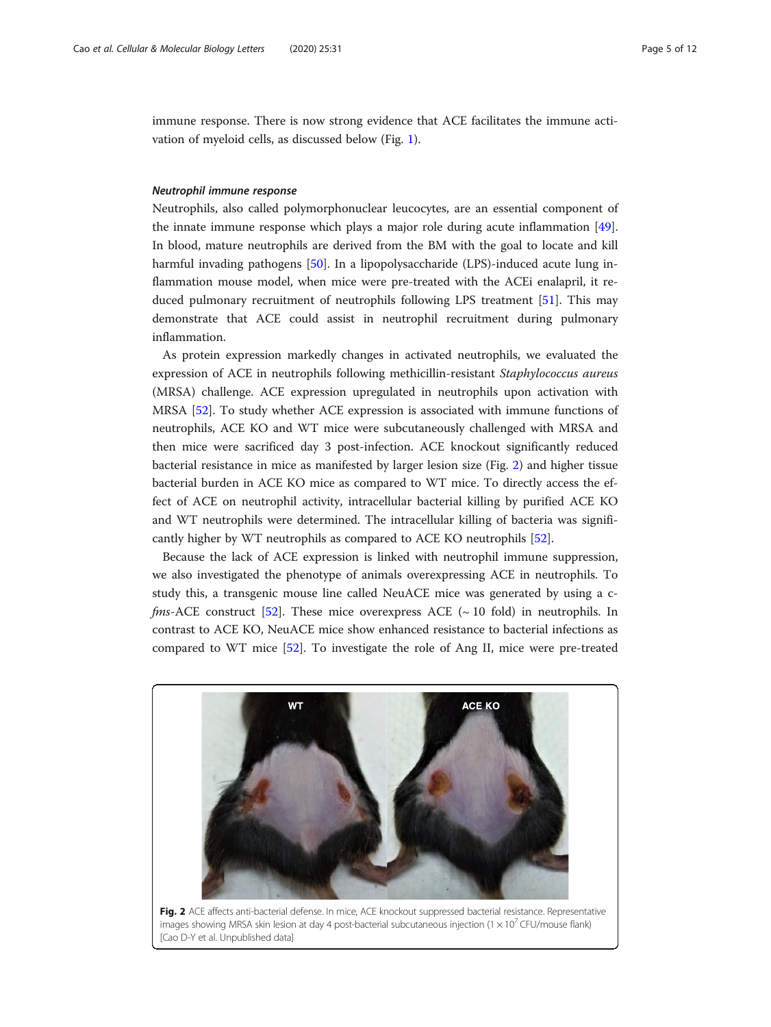immune response. There is now strong evidence that ACE facilitates the immune activation of myeloid cells, as discussed below (Fig. [1\)](#page-3-0).

#### Neutrophil immune response

Neutrophils, also called polymorphonuclear leucocytes, are an essential component of the innate immune response which plays a major role during acute inflammation [[49](#page-10-0)]. In blood, mature neutrophils are derived from the BM with the goal to locate and kill harmful invading pathogens [[50\]](#page-10-0). In a lipopolysaccharide (LPS)-induced acute lung inflammation mouse model, when mice were pre-treated with the ACEi enalapril, it reduced pulmonary recruitment of neutrophils following LPS treatment [\[51\]](#page-11-0). This may demonstrate that ACE could assist in neutrophil recruitment during pulmonary inflammation.

As protein expression markedly changes in activated neutrophils, we evaluated the expression of ACE in neutrophils following methicillin-resistant Staphylococcus aureus (MRSA) challenge. ACE expression upregulated in neutrophils upon activation with MRSA [\[52](#page-11-0)]. To study whether ACE expression is associated with immune functions of neutrophils, ACE KO and WT mice were subcutaneously challenged with MRSA and then mice were sacrificed day 3 post-infection. ACE knockout significantly reduced bacterial resistance in mice as manifested by larger lesion size (Fig. 2) and higher tissue bacterial burden in ACE KO mice as compared to WT mice. To directly access the effect of ACE on neutrophil activity, intracellular bacterial killing by purified ACE KO and WT neutrophils were determined. The intracellular killing of bacteria was significantly higher by WT neutrophils as compared to ACE KO neutrophils [[52\]](#page-11-0).

Because the lack of ACE expression is linked with neutrophil immune suppression, we also investigated the phenotype of animals overexpressing ACE in neutrophils. To study this, a transgenic mouse line called NeuACE mice was generated by using a c*fms*-ACE construct [\[52\]](#page-11-0). These mice overexpress ACE ( $\sim$  10 fold) in neutrophils. In contrast to ACE KO, NeuACE mice show enhanced resistance to bacterial infections as compared to WT mice [[52](#page-11-0)]. To investigate the role of Ang II, mice were pre-treated

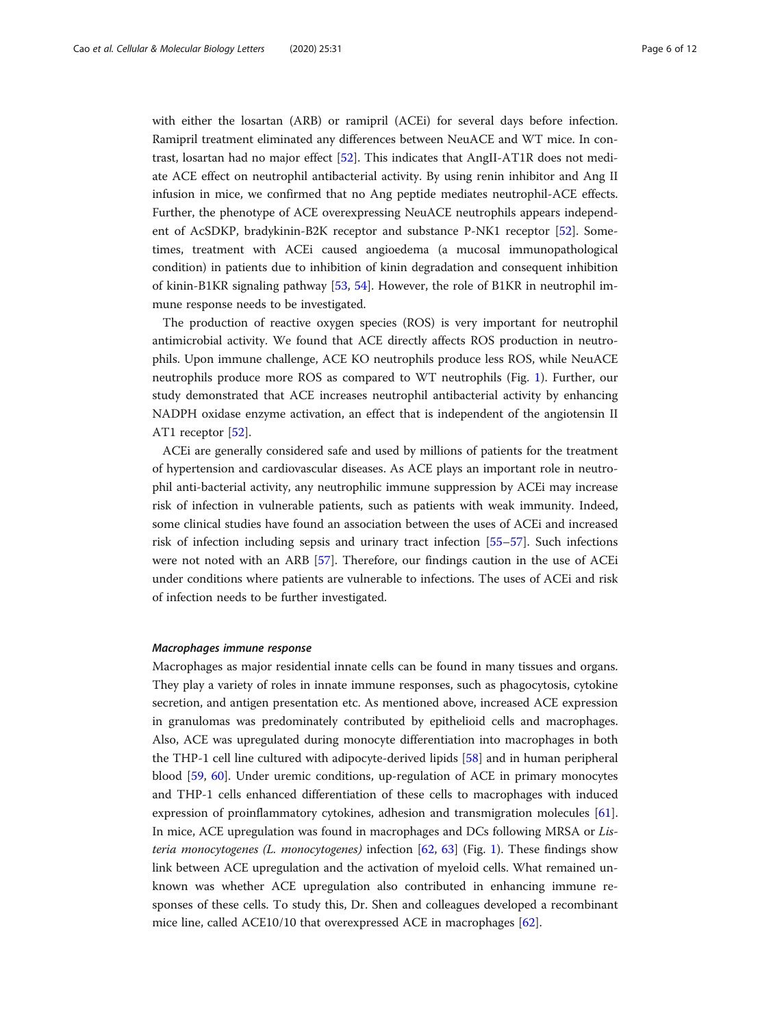with either the losartan (ARB) or ramipril (ACEi) for several days before infection. Ramipril treatment eliminated any differences between NeuACE and WT mice. In contrast, losartan had no major effect [\[52](#page-11-0)]. This indicates that AngII-AT1R does not mediate ACE effect on neutrophil antibacterial activity. By using renin inhibitor and Ang II infusion in mice, we confirmed that no Ang peptide mediates neutrophil-ACE effects. Further, the phenotype of ACE overexpressing NeuACE neutrophils appears independent of AcSDKP, bradykinin-B2K receptor and substance P-NK1 receptor [\[52\]](#page-11-0). Sometimes, treatment with ACEi caused angioedema (a mucosal immunopathological condition) in patients due to inhibition of kinin degradation and consequent inhibition of kinin-B1KR signaling pathway [[53,](#page-11-0) [54\]](#page-11-0). However, the role of B1KR in neutrophil immune response needs to be investigated.

The production of reactive oxygen species (ROS) is very important for neutrophil antimicrobial activity. We found that ACE directly affects ROS production in neutrophils. Upon immune challenge, ACE KO neutrophils produce less ROS, while NeuACE neutrophils produce more ROS as compared to WT neutrophils (Fig. [1\)](#page-3-0). Further, our study demonstrated that ACE increases neutrophil antibacterial activity by enhancing NADPH oxidase enzyme activation, an effect that is independent of the angiotensin II AT1 receptor [\[52\]](#page-11-0).

ACEi are generally considered safe and used by millions of patients for the treatment of hypertension and cardiovascular diseases. As ACE plays an important role in neutrophil anti-bacterial activity, any neutrophilic immune suppression by ACEi may increase risk of infection in vulnerable patients, such as patients with weak immunity. Indeed, some clinical studies have found an association between the uses of ACEi and increased risk of infection including sepsis and urinary tract infection [[55](#page-11-0)–[57](#page-11-0)]. Such infections were not noted with an ARB [[57\]](#page-11-0). Therefore, our findings caution in the use of ACEi under conditions where patients are vulnerable to infections. The uses of ACEi and risk of infection needs to be further investigated.

#### Macrophages immune response

Macrophages as major residential innate cells can be found in many tissues and organs. They play a variety of roles in innate immune responses, such as phagocytosis, cytokine secretion, and antigen presentation etc. As mentioned above, increased ACE expression in granulomas was predominately contributed by epithelioid cells and macrophages. Also, ACE was upregulated during monocyte differentiation into macrophages in both the THP-1 cell line cultured with adipocyte-derived lipids [\[58\]](#page-11-0) and in human peripheral blood [[59](#page-11-0), [60](#page-11-0)]. Under uremic conditions, up-regulation of ACE in primary monocytes and THP-1 cells enhanced differentiation of these cells to macrophages with induced expression of proinflammatory cytokines, adhesion and transmigration molecules [[61](#page-11-0)]. In mice, ACE upregulation was found in macrophages and DCs following MRSA or Lis-teria monocytogenes (L. monocytogenes) infection [[62,](#page-11-0) [63](#page-11-0)] (Fig. [1\)](#page-3-0). These findings show link between ACE upregulation and the activation of myeloid cells. What remained unknown was whether ACE upregulation also contributed in enhancing immune responses of these cells. To study this, Dr. Shen and colleagues developed a recombinant mice line, called ACE10/10 that overexpressed ACE in macrophages [[62\]](#page-11-0).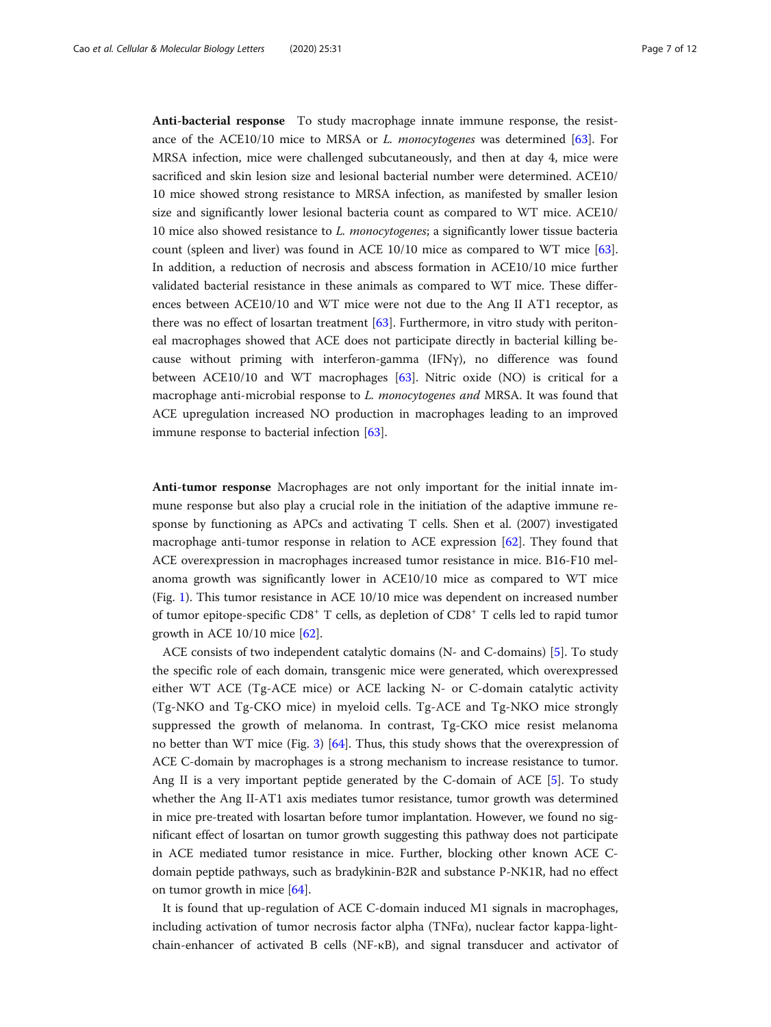Anti-bacterial response To study macrophage innate immune response, the resistance of the ACE10/10 mice to MRSA or L. monocytogenes was determined  $[63]$  $[63]$ . For MRSA infection, mice were challenged subcutaneously, and then at day 4, mice were sacrificed and skin lesion size and lesional bacterial number were determined. ACE10/ 10 mice showed strong resistance to MRSA infection, as manifested by smaller lesion size and significantly lower lesional bacteria count as compared to WT mice. ACE10/ 10 mice also showed resistance to *L. monocytogenes*; a significantly lower tissue bacteria count (spleen and liver) was found in ACE 10/10 mice as compared to WT mice [[63](#page-11-0)]. In addition, a reduction of necrosis and abscess formation in ACE10/10 mice further validated bacterial resistance in these animals as compared to WT mice. These differences between ACE10/10 and WT mice were not due to the Ang II AT1 receptor, as there was no effect of losartan treatment [[63](#page-11-0)]. Furthermore, in vitro study with peritoneal macrophages showed that ACE does not participate directly in bacterial killing because without priming with interferon-gamma (IFNγ), no difference was found between ACE10/10 and WT macrophages [\[63](#page-11-0)]. Nitric oxide (NO) is critical for a macrophage anti-microbial response to L. monocytogenes and MRSA. It was found that ACE upregulation increased NO production in macrophages leading to an improved immune response to bacterial infection [\[63](#page-11-0)].

Anti-tumor response Macrophages are not only important for the initial innate immune response but also play a crucial role in the initiation of the adaptive immune response by functioning as APCs and activating T cells. Shen et al. (2007) investigated macrophage anti-tumor response in relation to ACE expression [[62](#page-11-0)]. They found that ACE overexpression in macrophages increased tumor resistance in mice. B16-F10 melanoma growth was significantly lower in ACE10/10 mice as compared to WT mice (Fig. [1](#page-3-0)). This tumor resistance in ACE 10/10 mice was dependent on increased number of tumor epitope-specific CD8<sup>+</sup> T cells, as depletion of CD8<sup>+</sup> T cells led to rapid tumor growth in ACE 10/10 mice [\[62](#page-11-0)].

ACE consists of two independent catalytic domains (N- and C-domains) [\[5](#page-9-0)]. To study the specific role of each domain, transgenic mice were generated, which overexpressed either WT ACE (Tg-ACE mice) or ACE lacking N- or C-domain catalytic activity (Tg-NKO and Tg-CKO mice) in myeloid cells. Tg-ACE and Tg-NKO mice strongly suppressed the growth of melanoma. In contrast, Tg-CKO mice resist melanoma no better than WT mice (Fig. [3](#page-7-0)) [[64](#page-11-0)]. Thus, this study shows that the overexpression of ACE C-domain by macrophages is a strong mechanism to increase resistance to tumor. Ang II is a very important peptide generated by the C-domain of ACE [[5\]](#page-9-0). To study whether the Ang II-AT1 axis mediates tumor resistance, tumor growth was determined in mice pre-treated with losartan before tumor implantation. However, we found no significant effect of losartan on tumor growth suggesting this pathway does not participate in ACE mediated tumor resistance in mice. Further, blocking other known ACE Cdomain peptide pathways, such as bradykinin-B2R and substance P-NK1R, had no effect on tumor growth in mice [\[64](#page-11-0)].

It is found that up-regulation of ACE C-domain induced M1 signals in macrophages, including activation of tumor necrosis factor alpha (TNF $\alpha$ ), nuclear factor kappa-lightchain-enhancer of activated B cells (NF-κB), and signal transducer and activator of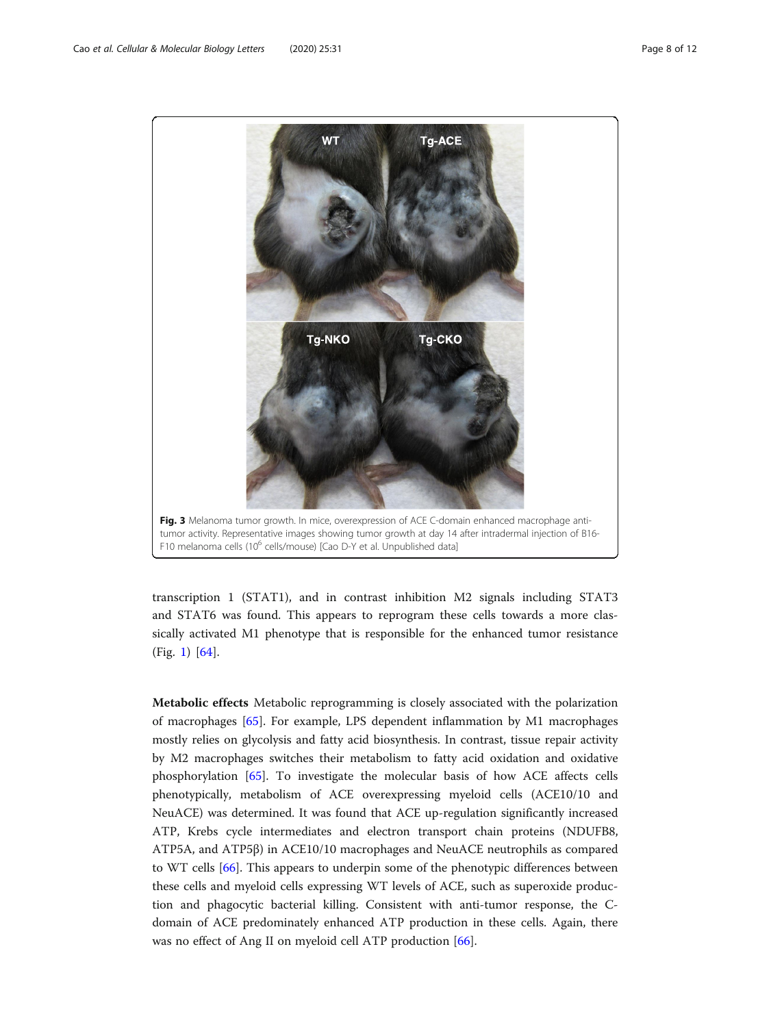<span id="page-7-0"></span>

transcription 1 (STAT1), and in contrast inhibition M2 signals including STAT3 and STAT6 was found. This appears to reprogram these cells towards a more classically activated M1 phenotype that is responsible for the enhanced tumor resistance (Fig. [1](#page-3-0)) [\[64](#page-11-0)].

Metabolic effects Metabolic reprogramming is closely associated with the polarization of macrophages [\[65](#page-11-0)]. For example, LPS dependent inflammation by M1 macrophages mostly relies on glycolysis and fatty acid biosynthesis. In contrast, tissue repair activity by M2 macrophages switches their metabolism to fatty acid oxidation and oxidative phosphorylation [[65](#page-11-0)]. To investigate the molecular basis of how ACE affects cells phenotypically, metabolism of ACE overexpressing myeloid cells (ACE10/10 and NeuACE) was determined. It was found that ACE up-regulation significantly increased ATP, Krebs cycle intermediates and electron transport chain proteins (NDUFB8, ATP5A, and ATP5β) in ACE10/10 macrophages and NeuACE neutrophils as compared to WT cells [\[66](#page-11-0)]. This appears to underpin some of the phenotypic differences between these cells and myeloid cells expressing WT levels of ACE, such as superoxide production and phagocytic bacterial killing. Consistent with anti-tumor response, the Cdomain of ACE predominately enhanced ATP production in these cells. Again, there was no effect of Ang II on myeloid cell ATP production [\[66](#page-11-0)].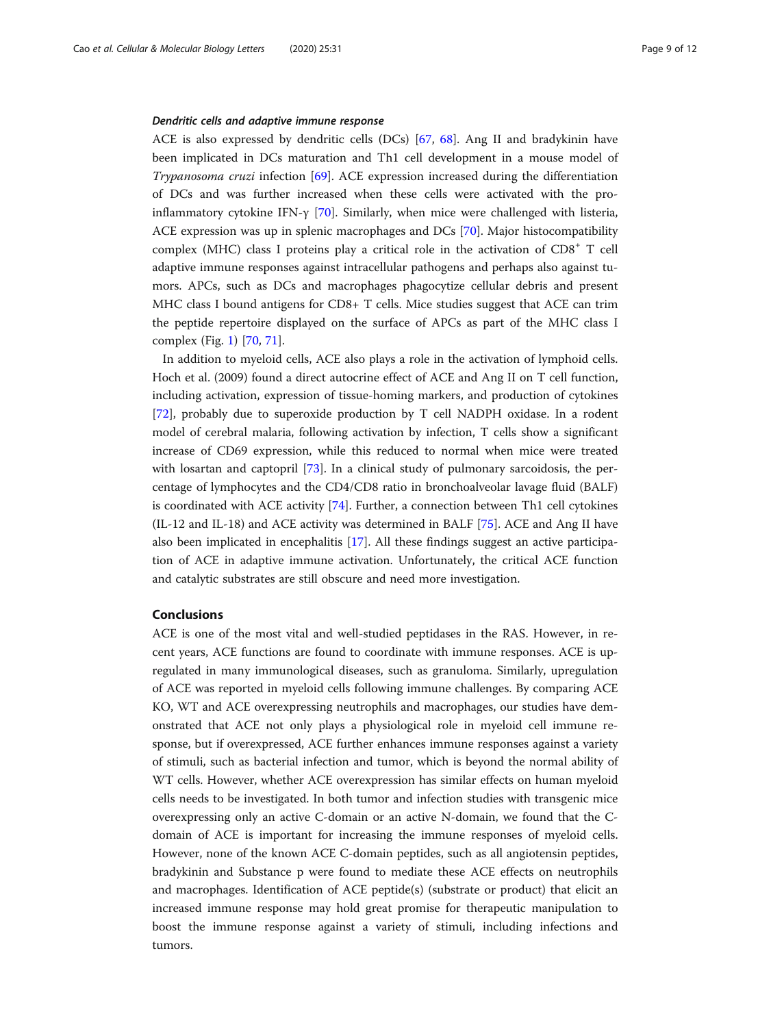#### Dendritic cells and adaptive immune response

ACE is also expressed by dendritic cells (DCs) [[67,](#page-11-0) [68\]](#page-11-0). Ang II and bradykinin have been implicated in DCs maturation and Th1 cell development in a mouse model of Trypanosoma cruzi infection [\[69\]](#page-11-0). ACE expression increased during the differentiation of DCs and was further increased when these cells were activated with the proinflammatory cytokine IFN-γ [[70\]](#page-11-0). Similarly, when mice were challenged with listeria, ACE expression was up in splenic macrophages and DCs [\[70](#page-11-0)]. Major histocompatibility complex (MHC) class I proteins play a critical role in the activation of  $CD8<sup>+</sup> T$  cell adaptive immune responses against intracellular pathogens and perhaps also against tumors. APCs, such as DCs and macrophages phagocytize cellular debris and present MHC class I bound antigens for CD8+ T cells. Mice studies suggest that ACE can trim the peptide repertoire displayed on the surface of APCs as part of the MHC class I complex (Fig. [1\)](#page-3-0) [\[70,](#page-11-0) [71\]](#page-11-0).

In addition to myeloid cells, ACE also plays a role in the activation of lymphoid cells. Hoch et al. (2009) found a direct autocrine effect of ACE and Ang II on T cell function, including activation, expression of tissue-homing markers, and production of cytokines [[72\]](#page-11-0), probably due to superoxide production by T cell NADPH oxidase. In a rodent model of cerebral malaria, following activation by infection, T cells show a significant increase of CD69 expression, while this reduced to normal when mice were treated with losartan and captopril [\[73](#page-11-0)]. In a clinical study of pulmonary sarcoidosis, the percentage of lymphocytes and the CD4/CD8 ratio in bronchoalveolar lavage fluid (BALF) is coordinated with ACE activity [[74\]](#page-11-0). Further, a connection between Th1 cell cytokines (IL-12 and IL-18) and ACE activity was determined in BALF [[75\]](#page-11-0). ACE and Ang II have also been implicated in encephalitis [\[17](#page-10-0)]. All these findings suggest an active participation of ACE in adaptive immune activation. Unfortunately, the critical ACE function and catalytic substrates are still obscure and need more investigation.

#### Conclusions

ACE is one of the most vital and well-studied peptidases in the RAS. However, in recent years, ACE functions are found to coordinate with immune responses. ACE is upregulated in many immunological diseases, such as granuloma. Similarly, upregulation of ACE was reported in myeloid cells following immune challenges. By comparing ACE KO, WT and ACE overexpressing neutrophils and macrophages, our studies have demonstrated that ACE not only plays a physiological role in myeloid cell immune response, but if overexpressed, ACE further enhances immune responses against a variety of stimuli, such as bacterial infection and tumor, which is beyond the normal ability of WT cells. However, whether ACE overexpression has similar effects on human myeloid cells needs to be investigated. In both tumor and infection studies with transgenic mice overexpressing only an active C-domain or an active N-domain, we found that the Cdomain of ACE is important for increasing the immune responses of myeloid cells. However, none of the known ACE C-domain peptides, such as all angiotensin peptides, bradykinin and Substance p were found to mediate these ACE effects on neutrophils and macrophages. Identification of ACE peptide(s) (substrate or product) that elicit an increased immune response may hold great promise for therapeutic manipulation to boost the immune response against a variety of stimuli, including infections and tumors.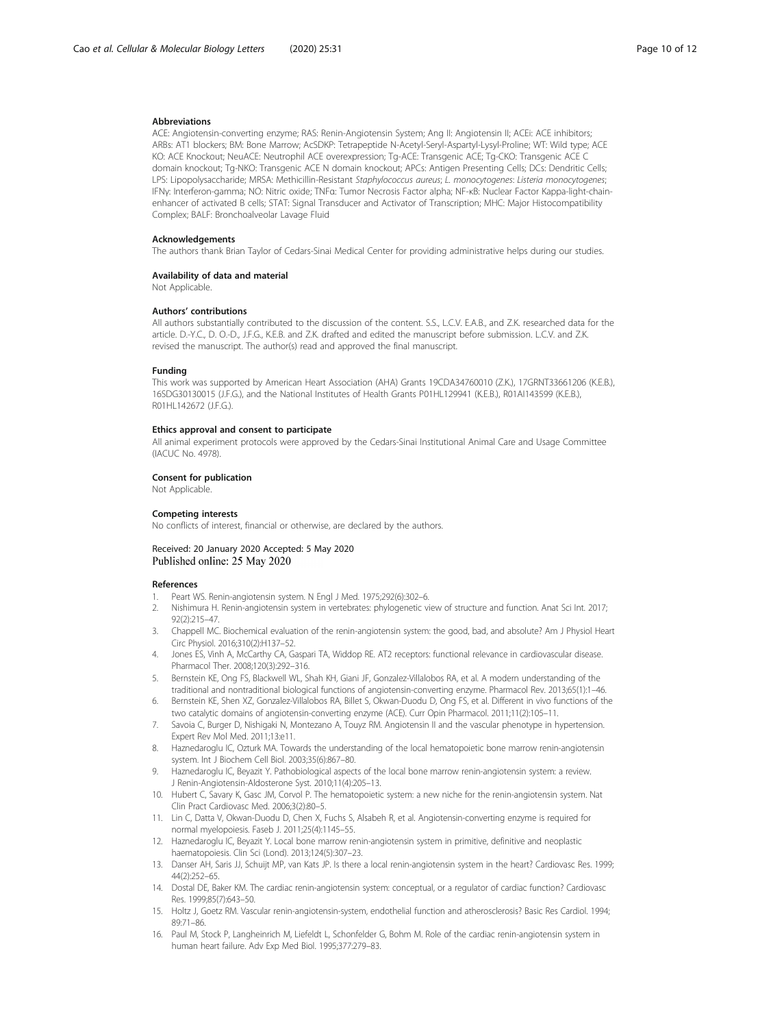#### <span id="page-9-0"></span>Abbreviations

ACE: Angiotensin-converting enzyme; RAS: Renin-Angiotensin System; Ang II: Angiotensin II; ACEi: ACE inhibitors; ARBs: AT1 blockers; BM: Bone Marrow; AcSDKP: Tetrapeptide N-Acetyl-Seryl-Aspartyl-Lysyl-Proline; WT: Wild type; ACE KO: ACE Knockout; NeuACE: Neutrophil ACE overexpression; Tg-ACE: Transgenic ACE; Tg-CKO: Transgenic ACE C domain knockout; Tg-NKO: Transgenic ACE N domain knockout; APCs: Antigen Presenting Cells; DCs: Dendritic Cells; LPS: Lipopolysaccharide; MRSA: Methicillin-Resistant Staphylococcus aureus; L. monocytogenes: Listeria monocytogenes; IFNγ: Interferon-gamma; NO: Nitric oxide; TNFα: Tumor Necrosis Factor alpha; NF-κB: Nuclear Factor Kappa-light-chainenhancer of activated B cells; STAT: Signal Transducer and Activator of Transcription; MHC: Major Histocompatibility Complex; BALF: Bronchoalveolar Lavage Fluid

#### Acknowledgements

The authors thank Brian Taylor of Cedars-Sinai Medical Center for providing administrative helps during our studies.

#### Availability of data and material

Not Applicable.

#### Authors' contributions

All authors substantially contributed to the discussion of the content. S.S., L.C.V. E.A.B., and Z.K. researched data for the article. D.-Y.C., D. O.-D., J.F.G., K.E.B. and Z.K. drafted and edited the manuscript before submission. L.C.V. and Z.K. revised the manuscript. The author(s) read and approved the final manuscript.

#### Funding

This work was supported by American Heart Association (AHA) Grants 19CDA34760010 (Z.K.), 17GRNT33661206 (K.E.B.), 16SDG30130015 (J.F.G.), and the National Institutes of Health Grants P01HL129941 (K.E.B.), R01AI143599 (K.E.B.), R01HL142672 (J.F.G.).

#### Ethics approval and consent to participate

All animal experiment protocols were approved by the Cedars-Sinai Institutional Animal Care and Usage Committee (IACUC No. 4978).

#### Consent for publication

Not Applicable.

#### Competing interests

No conflicts of interest, financial or otherwise, are declared by the authors.

#### Received: 20 January 2020 Accepted: 5 May 2020 Published online: 25 May 2020

#### References

- 1. Peart WS. Renin-angiotensin system. N Engl J Med. 1975;292(6):302–6.
- 2. Nishimura H. Renin-angiotensin system in vertebrates: phylogenetic view of structure and function. Anat Sci Int. 2017; 92(2):215–47.
- 3. Chappell MC. Biochemical evaluation of the renin-angiotensin system: the good, bad, and absolute? Am J Physiol Heart Circ Physiol. 2016;310(2):H137–52.
- 4. Jones ES, Vinh A, McCarthy CA, Gaspari TA, Widdop RE. AT2 receptors: functional relevance in cardiovascular disease. Pharmacol Ther. 2008;120(3):292–316.
- 5. Bernstein KE, Ong FS, Blackwell WL, Shah KH, Giani JF, Gonzalez-Villalobos RA, et al. A modern understanding of the traditional and nontraditional biological functions of angiotensin-converting enzyme. Pharmacol Rev. 2013;65(1):1–46.
- 6. Bernstein KE, Shen XZ, Gonzalez-Villalobos RA, Billet S, Okwan-Duodu D, Ong FS, et al. Different in vivo functions of the two catalytic domains of angiotensin-converting enzyme (ACE). Curr Opin Pharmacol. 2011;11(2):105–11.
- 7. Savoia C, Burger D, Nishigaki N, Montezano A, Touyz RM. Angiotensin II and the vascular phenotype in hypertension. Expert Rev Mol Med. 2011;13:e11.
- 8. Haznedaroglu IC, Ozturk MA. Towards the understanding of the local hematopoietic bone marrow renin-angiotensin system. Int J Biochem Cell Biol. 2003;35(6):867–80.
- 9. Haznedaroglu IC, Beyazit Y. Pathobiological aspects of the local bone marrow renin-angiotensin system: a review. J Renin-Angiotensin-Aldosterone Syst. 2010;11(4):205–13.
- 10. Hubert C, Savary K, Gasc JM, Corvol P. The hematopoietic system: a new niche for the renin-angiotensin system. Nat Clin Pract Cardiovasc Med. 2006;3(2):80–5.
- 11. Lin C, Datta V, Okwan-Duodu D, Chen X, Fuchs S, Alsabeh R, et al. Angiotensin-converting enzyme is required for normal myelopoiesis. Faseb J. 2011;25(4):1145–55.
- 12. Haznedaroglu IC, Beyazit Y. Local bone marrow renin-angiotensin system in primitive, definitive and neoplastic haematopoiesis. Clin Sci (Lond). 2013;124(5):307–23.
- 13. Danser AH, Saris JJ, Schuijt MP, van Kats JP. Is there a local renin-angiotensin system in the heart? Cardiovasc Res. 1999; 44(2):252–65.
- 14. Dostal DE, Baker KM. The cardiac renin-angiotensin system: conceptual, or a regulator of cardiac function? Cardiovasc Res. 1999;85(7):643–50.
- 15. Holtz J, Goetz RM. Vascular renin-angiotensin-system, endothelial function and atherosclerosis? Basic Res Cardiol. 1994; 89:71–86.
- 16. Paul M, Stock P, Langheinrich M, Liefeldt L, Schonfelder G, Bohm M. Role of the cardiac renin-angiotensin system in human heart failure. Adv Exp Med Biol. 1995;377:279–83.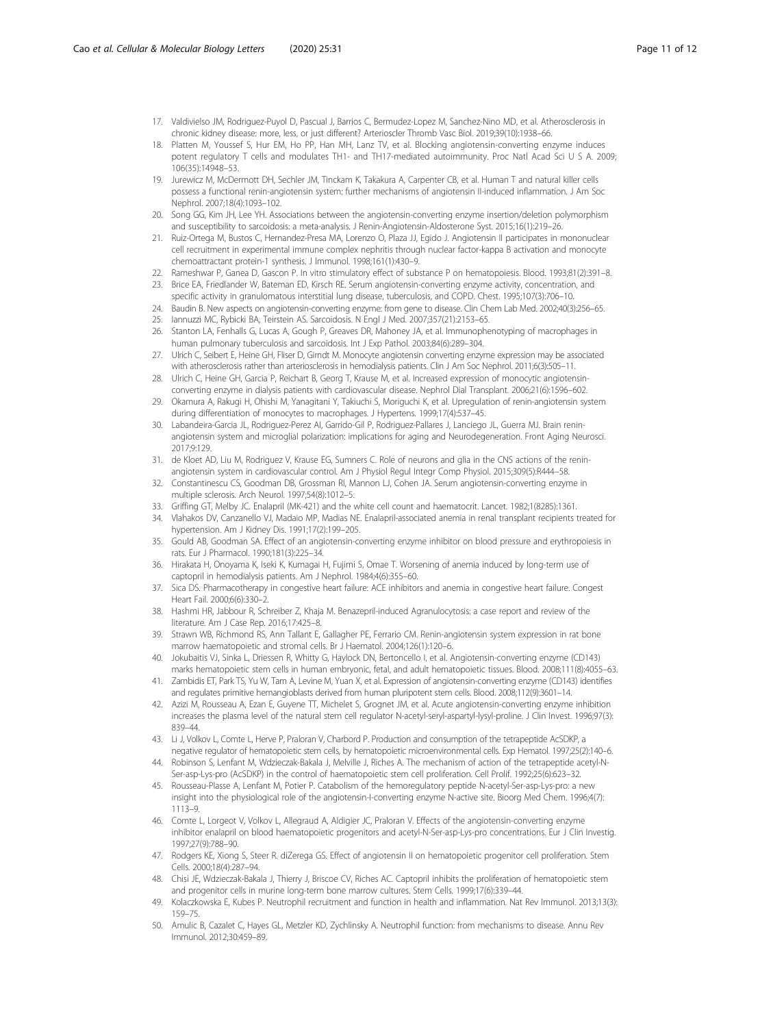- <span id="page-10-0"></span>17. Valdivielso JM, Rodriguez-Puyol D, Pascual J, Barrios C, Bermudez-Lopez M, Sanchez-Nino MD, et al. Atherosclerosis in chronic kidney disease: more, less, or just different? Arterioscler Thromb Vasc Biol. 2019;39(10):1938–66.
- 18. Platten M, Youssef S, Hur EM, Ho PP, Han MH, Lanz TV, et al. Blocking angiotensin-converting enzyme induces potent regulatory T cells and modulates TH1- and TH17-mediated autoimmunity. Proc Natl Acad Sci U S A. 2009; 106(35):14948–53.
- 19. Jurewicz M, McDermott DH, Sechler JM, Tinckam K, Takakura A, Carpenter CB, et al. Human T and natural killer cells possess a functional renin-angiotensin system: further mechanisms of angiotensin II-induced inflammation. J Am Soc Nephrol. 2007;18(4):1093–102.
- 20. Song GG, Kim JH, Lee YH. Associations between the angiotensin-converting enzyme insertion/deletion polymorphism and susceptibility to sarcoidosis: a meta-analysis. J Renin-Angiotensin-Aldosterone Syst. 2015;16(1):219–26.
- 21. Ruiz-Ortega M, Bustos C, Hernandez-Presa MA, Lorenzo O, Plaza JJ, Egido J. Angiotensin II participates in mononuclear cell recruitment in experimental immune complex nephritis through nuclear factor-kappa B activation and monocyte chemoattractant protein-1 synthesis. J Immunol. 1998;161(1):430–9.
- 22. Rameshwar P, Ganea D, Gascon P. In vitro stimulatory effect of substance P on hematopoiesis. Blood. 1993;81(2):391–8.
- 23. Brice EA, Friedlander W, Bateman ED, Kirsch RE. Serum angiotensin-converting enzyme activity, concentration, and specific activity in granulomatous interstitial lung disease, tuberculosis, and COPD. Chest. 1995;107(3):706–10.
- 24. Baudin B. New aspects on angiotensin-converting enzyme: from gene to disease. Clin Chem Lab Med. 2002;40(3):256–65. 25. Iannuzzi MC, Rybicki BA, Teirstein AS. Sarcoidosis. N Engl J Med. 2007;357(21):2153–65.
- 26. Stanton LA, Fenhalls G, Lucas A, Gough P, Greaves DR, Mahoney JA, et al. Immunophenotyping of macrophages in human pulmonary tuberculosis and sarcoidosis. Int J Exp Pathol. 2003;84(6):289–304.
- 27. Ulrich C, Seibert E, Heine GH, Fliser D, Girndt M. Monocyte angiotensin converting enzyme expression may be associated with atherosclerosis rather than arteriosclerosis in hemodialysis patients. Clin J Am Soc Nephrol. 2011;6(3):505–11.
- 28. Ulrich C, Heine GH, Garcia P, Reichart B, Georg T, Krause M, et al. Increased expression of monocytic angiotensinconverting enzyme in dialysis patients with cardiovascular disease. Nephrol Dial Transplant. 2006;21(6):1596–602.
- 29. Okamura A, Rakugi H, Ohishi M, Yanagitani Y, Takiuchi S, Moriguchi K, et al. Upregulation of renin-angiotensin system during differentiation of monocytes to macrophages. J Hypertens. 1999;17(4):537–45.
- 30. Labandeira-Garcia JL, Rodriguez-Perez AI, Garrido-Gil P, Rodriguez-Pallares J, Lanciego JL, Guerra MJ. Brain reninangiotensin system and microglial polarization: implications for aging and Neurodegeneration. Front Aging Neurosci. 2017;9:129.
- 31. de Kloet AD, Liu M, Rodriguez V, Krause EG, Sumners C. Role of neurons and glia in the CNS actions of the reninangiotensin system in cardiovascular control. Am J Physiol Regul Integr Comp Physiol. 2015;309(5):R444–58.
- 32. Constantinescu CS, Goodman DB, Grossman RI, Mannon LJ, Cohen JA. Serum angiotensin-converting enzyme in multiple sclerosis. Arch Neurol. 1997;54(8):1012–5.
- 33. Griffing GT, Melby JC. Enalapril (MK-421) and the white cell count and haematocrit. Lancet. 1982;1(8285):1361.
- 34. Vlahakos DV, Canzanello VJ, Madaio MP, Madias NE. Enalapril-associated anemia in renal transplant recipients treated for hypertension. Am J Kidney Dis. 1991;17(2):199–205.
- 35. Gould AB, Goodman SA. Effect of an angiotensin-converting enzyme inhibitor on blood pressure and erythropoiesis in rats. Eur J Pharmacol. 1990;181(3):225–34.
- 36. Hirakata H, Onoyama K, Iseki K, Kumagai H, Fujimi S, Omae T. Worsening of anemia induced by long-term use of captopril in hemodialysis patients. Am J Nephrol. 1984;4(6):355–60.
- 37. Sica DS. Pharmacotherapy in congestive heart failure: ACE inhibitors and anemia in congestive heart failure. Congest Heart Fail. 2000;6(6):330–2.
- 38. Hashmi HR, Jabbour R, Schreiber Z, Khaja M. Benazepril-induced Agranulocytosis: a case report and review of the literature. Am J Case Rep. 2016;17:425–8.
- 39. Strawn WB, Richmond RS, Ann Tallant E, Gallagher PE, Ferrario CM. Renin-angiotensin system expression in rat bone marrow haematopoietic and stromal cells. Br J Haematol. 2004;126(1):120–6.
- 40. Jokubaitis VJ, Sinka L, Driessen R, Whitty G, Haylock DN, Bertoncello I, et al. Angiotensin-converting enzyme (CD143) marks hematopoietic stem cells in human embryonic, fetal, and adult hematopoietic tissues. Blood. 2008;111(8):4055–63.
- 41. Zambidis ET, Park TS, Yu W, Tam A, Levine M, Yuan X, et al. Expression of angiotensin-converting enzyme (CD143) identifies and regulates primitive hemangioblasts derived from human pluripotent stem cells. Blood. 2008;112(9):3601–14.
- 42. Azizi M, Rousseau A, Ezan E, Guyene TT, Michelet S, Grognet JM, et al. Acute angiotensin-converting enzyme inhibition increases the plasma level of the natural stem cell regulator N-acetyl-seryl-aspartyl-lysyl-proline. J Clin Invest. 1996;97(3): 839–44.
- 43. Li J, Volkov L, Comte L, Herve P, Praloran V, Charbord P. Production and consumption of the tetrapeptide AcSDKP, a negative regulator of hematopoietic stem cells, by hematopoietic microenvironmental cells. Exp Hematol. 1997;25(2):140–6.
- 44. Robinson S, Lenfant M, Wdzieczak-Bakala J, Melville J, Riches A. The mechanism of action of the tetrapeptide acetyl-N-Ser-asp-Lys-pro (AcSDKP) in the control of haematopoietic stem cell proliferation. Cell Prolif. 1992;25(6):623–32.
- 45. Rousseau-Plasse A, Lenfant M, Potier P. Catabolism of the hemoregulatory peptide N-acetyl-Ser-asp-Lys-pro: a new insight into the physiological role of the angiotensin-I-converting enzyme N-active site. Bioorg Med Chem. 1996;4(7): 1113–9.
- 46. Comte L, Lorgeot V, Volkov L, Allegraud A, Aldigier JC, Praloran V. Effects of the angiotensin-converting enzyme inhibitor enalapril on blood haematopoietic progenitors and acetyl-N-Ser-asp-Lys-pro concentrations. Eur J Clin Investig. 1997;27(9):788–90.
- 47. Rodgers KE, Xiong S, Steer R. diZerega GS. Effect of angiotensin II on hematopoietic progenitor cell proliferation. Stem Cells. 2000;18(4):287–94.
- 48. Chisi JE, Wdzieczak-Bakala J, Thierry J, Briscoe CV, Riches AC. Captopril inhibits the proliferation of hematopoietic stem and progenitor cells in murine long-term bone marrow cultures. Stem Cells. 1999;17(6):339–44.
- 49. Kolaczkowska E, Kubes P. Neutrophil recruitment and function in health and inflammation. Nat Rev Immunol. 2013;13(3): 159–75.
- 50. Amulic B, Cazalet C, Hayes GL, Metzler KD, Zychlinsky A. Neutrophil function: from mechanisms to disease. Annu Rev Immunol. 2012;30:459–89.